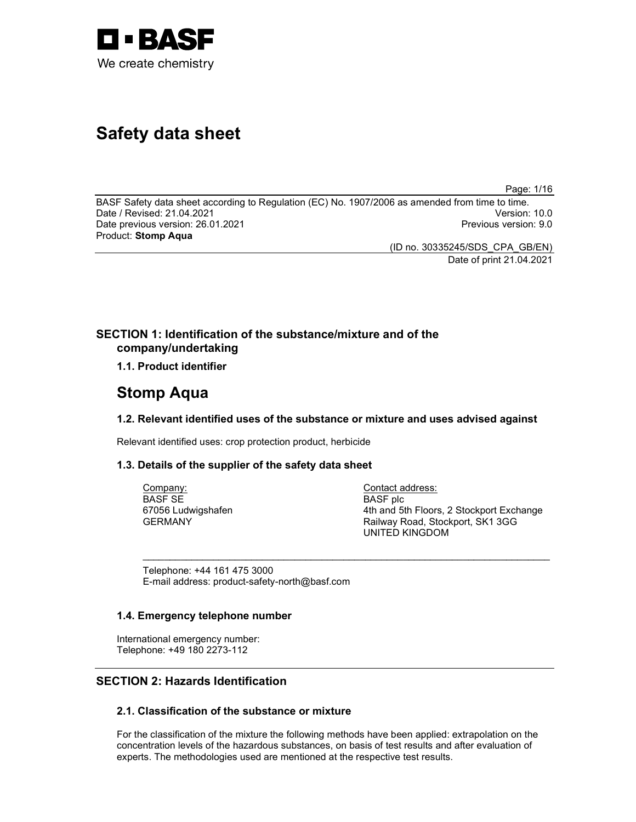

# Safety data sheet

Page: 1/16

BASF Safety data sheet according to Regulation (EC) No. 1907/2006 as amended from time to time. Date / Revised: 21.04.2021 Version: 10.0 Date previous version: 26.01.2021 **Previous version: 9.0** Previous version: 9.0 Product: Stomp Aqua

(ID no. 30335245/SDS\_CPA\_GB/EN) Date of print 21.04.2021

# SECTION 1: Identification of the substance/mixture and of the company/undertaking

1.1. Product identifier

# Stomp Aqua

# 1.2. Relevant identified uses of the substance or mixture and uses advised against

 $\sim$  . The contribution of the contribution of the contribution of the contribution of the contribution of the contribution of the contribution of the contribution of the contribution of the contribution of the contributi

Relevant identified uses: crop protection product, herbicide

# 1.3. Details of the supplier of the safety data sheet

Company: BASF SE 67056 Ludwigshafen GERMANY

Contact address: BASF plc 4th and 5th Floors, 2 Stockport Exchange Railway Road, Stockport, SK1 3GG UNITED KINGDOM

Telephone: +44 161 475 3000 E-mail address: product-safety-north@basf.com

# 1.4. Emergency telephone number

International emergency number: Telephone: +49 180 2273-112

# SECTION 2: Hazards Identification

# 2.1. Classification of the substance or mixture

For the classification of the mixture the following methods have been applied: extrapolation on the concentration levels of the hazardous substances, on basis of test results and after evaluation of experts. The methodologies used are mentioned at the respective test results.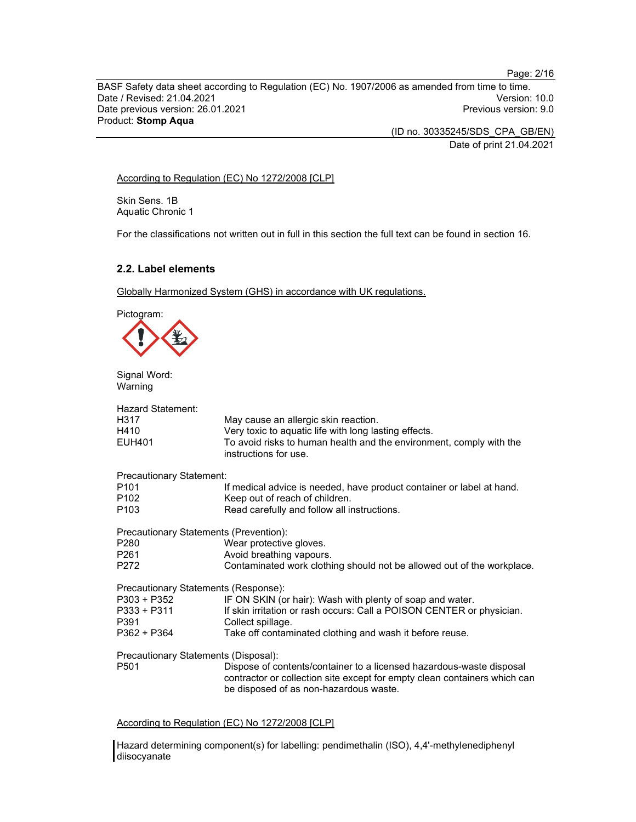BASF Safety data sheet according to Regulation (EC) No. 1907/2006 as amended from time to time. Date / Revised: 21.04.2021 Date previous version: 26.01.2021 **Previous version: 9.0** Previous version: 9.0 Product: Stomp Aqua

(ID no. 30335245/SDS\_CPA\_GB/EN)

Date of print 21.04.2021

According to Regulation (EC) No 1272/2008 [CLP]

Skin Sens. 1B Aquatic Chronic 1

For the classifications not written out in full in this section the full text can be found in section 16.

# 2.2. Label elements

Globally Harmonized System (GHS) in accordance with UK regulations.



Signal Word: Warning

| Hazard Statement:<br>H317<br>H410<br><b>EUH401</b>       | May cause an allergic skin reaction.<br>Very toxic to aquatic life with long lasting effects.<br>To avoid risks to human health and the environment, comply with the<br>instructions for use. |
|----------------------------------------------------------|-----------------------------------------------------------------------------------------------------------------------------------------------------------------------------------------------|
| Precautionary Statement:                                 |                                                                                                                                                                                               |
| P <sub>101</sub><br>P <sub>102</sub><br>P <sub>103</sub> | If medical advice is needed, have product container or label at hand.<br>Keep out of reach of children.<br>Read carefully and follow all instructions.                                        |
| Precautionary Statements (Prevention):                   |                                                                                                                                                                                               |
| P <sub>280</sub>                                         | Wear protective gloves.                                                                                                                                                                       |
| P <sub>261</sub>                                         | Avoid breathing vapours.                                                                                                                                                                      |
| P272                                                     | Contaminated work clothing should not be allowed out of the workplace.                                                                                                                        |
| Precautionary Statements (Response):                     |                                                                                                                                                                                               |
| P303 + P352                                              | IF ON SKIN (or hair): Wash with plenty of soap and water.                                                                                                                                     |
| P333 + P311                                              | If skin irritation or rash occurs: Call a POISON CENTER or physician.                                                                                                                         |
| P391                                                     | Collect spillage.                                                                                                                                                                             |
| P362 + P364                                              | Take off contaminated clothing and wash it before reuse.                                                                                                                                      |
| Precautionary Statements (Disposal):                     |                                                                                                                                                                                               |
| P <sub>501</sub>                                         | Dispose of contents/container to a licensed hazardous-waste disposal<br>contractor or collection site except for empty clean containers which can<br>be disposed of as non-hazardous waste.   |

According to Regulation (EC) No 1272/2008 [CLP]

Hazard determining component(s) for labelling: pendimethalin (ISO), 4,4'-methylenediphenyl diisocyanate

Page: 2/16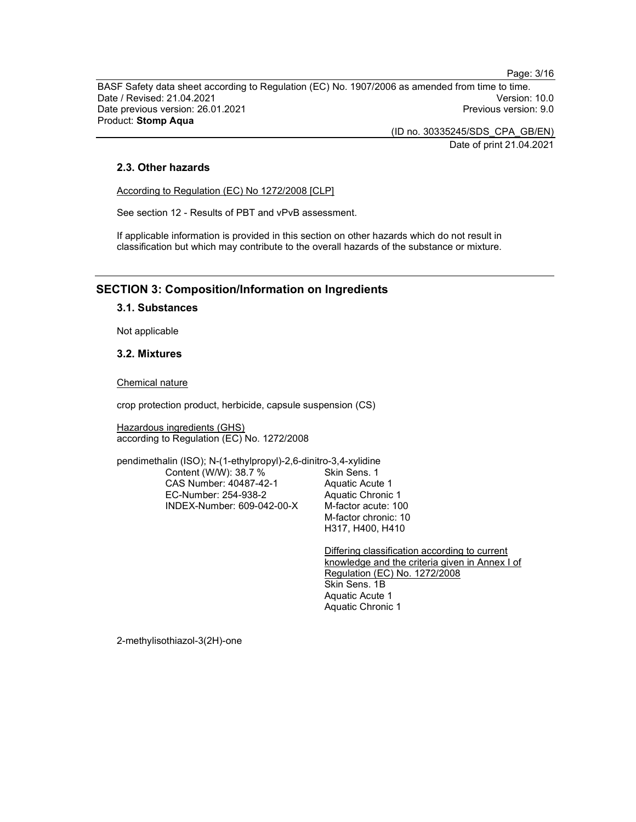Page: 3/16

BASF Safety data sheet according to Regulation (EC) No. 1907/2006 as amended from time to time. Date / Revised: 21.04.2021 Version: 10.0 Date previous version: 26.01.2021 **Previous version: 9.0 Previous version: 9.0** Product: Stomp Aqua

(ID no. 30335245/SDS\_CPA\_GB/EN)

Date of print 21.04.2021

# 2.3. Other hazards

According to Regulation (EC) No 1272/2008 [CLP]

See section 12 - Results of PBT and vPvB assessment.

If applicable information is provided in this section on other hazards which do not result in classification but which may contribute to the overall hazards of the substance or mixture.

# SECTION 3: Composition/Information on Ingredients

3.1. Substances

Not applicable

# 3.2. Mixtures

Chemical nature

crop protection product, herbicide, capsule suspension (CS)

Hazardous ingredients (GHS) according to Regulation (EC) No. 1272/2008

pendimethalin (ISO); N-(1-ethylpropyl)-2,6-dinitro-3,4-xylidine

Content (W/W): 38.7 % CAS Number: 40487-42-1 EC-Number: 254-938-2 INDEX-Number: 609-042-00-X Skin Sens. 1 Aquatic Acute 1 Aquatic Chronic 1 M-factor acute: 100 M-factor chronic: 10 H317, H400, H410

Differing classification according to current knowledge and the criteria given in Annex I of Regulation (EC) No. 1272/2008 Skin Sens. 1B Aquatic Acute 1 Aquatic Chronic 1

2-methylisothiazol-3(2H)-one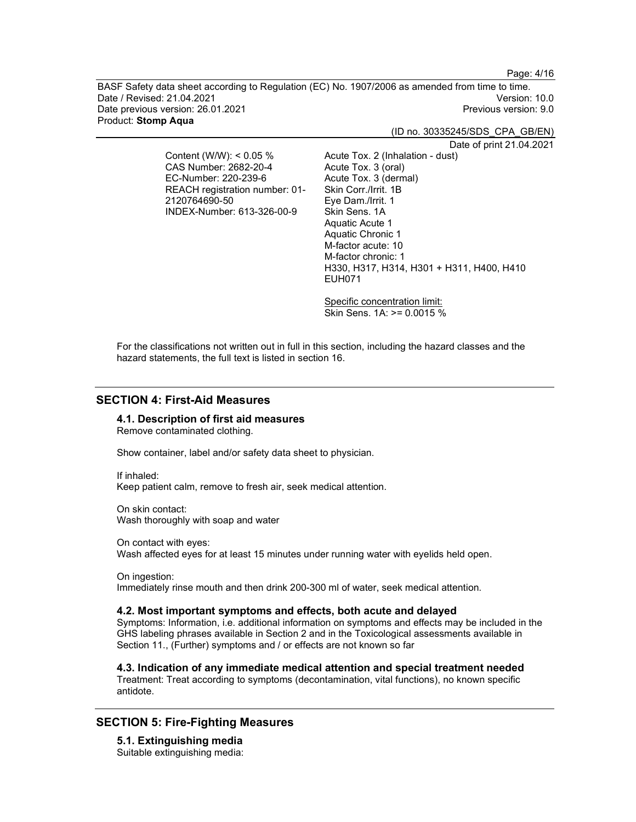Page: 4/16

BASF Safety data sheet according to Regulation (EC) No. 1907/2006 as amended from time to time. Date / Revised: 21.04.2021 Version: 10.0 Date previous version: 26.01.2021 **Previous version: 9.0 Previous version: 9.0** Product: Stomp Aqua

(ID no. 30335245/SDS\_CPA\_GB/EN)

Content (W/W): < 0.05 % CAS Number: 2682-20-4 EC-Number: 220-239-6 REACH registration number: 01- 2120764690-50 INDEX-Number: 613-326-00-9

Date of print 21.04.2021 Acute Tox. 2 (Inhalation - dust) Acute Tox. 3 (oral) Acute Tox. 3 (dermal) Skin Corr./Irrit. 1B Eye Dam./Irrit. 1 Skin Sens. 1A Aquatic Acute 1 Aquatic Chronic 1 M-factor acute: 10 M-factor chronic: 1 H330, H317, H314, H301 + H311, H400, H410 EUH071

Specific concentration limit: Skin Sens. 1A: >= 0.0015 %

For the classifications not written out in full in this section, including the hazard classes and the hazard statements, the full text is listed in section 16.

# SECTION 4: First-Aid Measures

### 4.1. Description of first aid measures

Remove contaminated clothing.

Show container, label and/or safety data sheet to physician.

If inhaled: Keep patient calm, remove to fresh air, seek medical attention.

On skin contact: Wash thoroughly with soap and water

On contact with eyes: Wash affected eyes for at least 15 minutes under running water with eyelids held open.

On ingestion: Immediately rinse mouth and then drink 200-300 ml of water, seek medical attention.

### 4.2. Most important symptoms and effects, both acute and delayed

Symptoms: Information, i.e. additional information on symptoms and effects may be included in the GHS labeling phrases available in Section 2 and in the Toxicological assessments available in Section 11., (Further) symptoms and / or effects are not known so far

4.3. Indication of any immediate medical attention and special treatment needed Treatment: Treat according to symptoms (decontamination, vital functions), no known specific antidote.

# SECTION 5: Fire-Fighting Measures

5.1. Extinguishing media Suitable extinguishing media: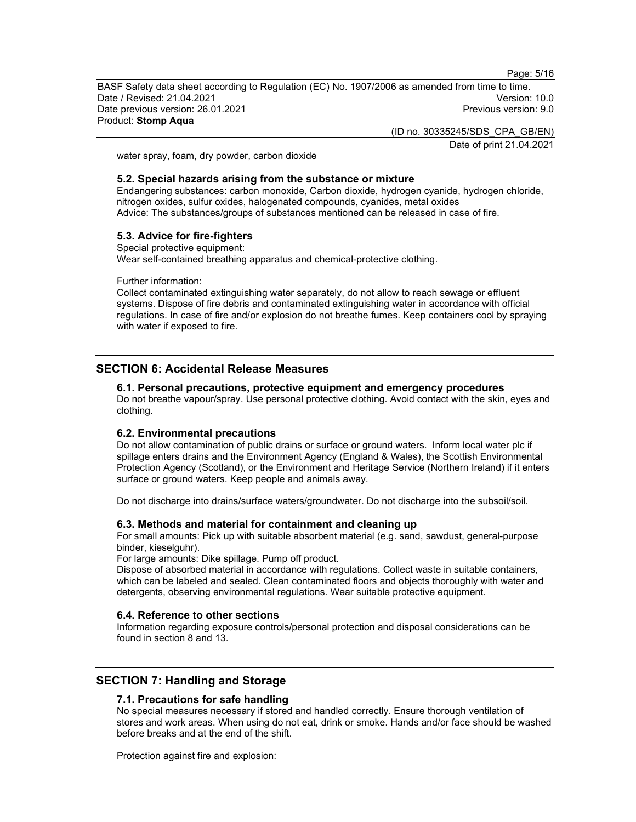Page: 5/16

BASF Safety data sheet according to Regulation (EC) No. 1907/2006 as amended from time to time. Date / Revised: 21.04.2021 Version: 10.0 Date previous version: 26.01.2021 **Previous version: 9.0 Previous version: 9.0** Product: Stomp Aqua

(ID no. 30335245/SDS\_CPA\_GB/EN)

Date of print 21.04.2021

water spray, foam, dry powder, carbon dioxide

# 5.2. Special hazards arising from the substance or mixture

Endangering substances: carbon monoxide, Carbon dioxide, hydrogen cyanide, hydrogen chloride, nitrogen oxides, sulfur oxides, halogenated compounds, cyanides, metal oxides Advice: The substances/groups of substances mentioned can be released in case of fire.

# 5.3. Advice for fire-fighters

Special protective equipment: Wear self-contained breathing apparatus and chemical-protective clothing.

Further information:

Collect contaminated extinguishing water separately, do not allow to reach sewage or effluent systems. Dispose of fire debris and contaminated extinguishing water in accordance with official regulations. In case of fire and/or explosion do not breathe fumes. Keep containers cool by spraying with water if exposed to fire.

# SECTION 6: Accidental Release Measures

#### 6.1. Personal precautions, protective equipment and emergency procedures

Do not breathe vapour/spray. Use personal protective clothing. Avoid contact with the skin, eyes and clothing.

### 6.2. Environmental precautions

Do not allow contamination of public drains or surface or ground waters. Inform local water plc if spillage enters drains and the Environment Agency (England & Wales), the Scottish Environmental Protection Agency (Scotland), or the Environment and Heritage Service (Northern Ireland) if it enters surface or ground waters. Keep people and animals away.

Do not discharge into drains/surface waters/groundwater. Do not discharge into the subsoil/soil.

#### 6.3. Methods and material for containment and cleaning up

For small amounts: Pick up with suitable absorbent material (e.g. sand, sawdust, general-purpose binder, kieselguhr).

For large amounts: Dike spillage. Pump off product.

Dispose of absorbed material in accordance with regulations. Collect waste in suitable containers, which can be labeled and sealed. Clean contaminated floors and objects thoroughly with water and detergents, observing environmental regulations. Wear suitable protective equipment.

#### 6.4. Reference to other sections

Information regarding exposure controls/personal protection and disposal considerations can be found in section 8 and 13.

# SECTION 7: Handling and Storage

#### 7.1. Precautions for safe handling

No special measures necessary if stored and handled correctly. Ensure thorough ventilation of stores and work areas. When using do not eat, drink or smoke. Hands and/or face should be washed before breaks and at the end of the shift.

Protection against fire and explosion: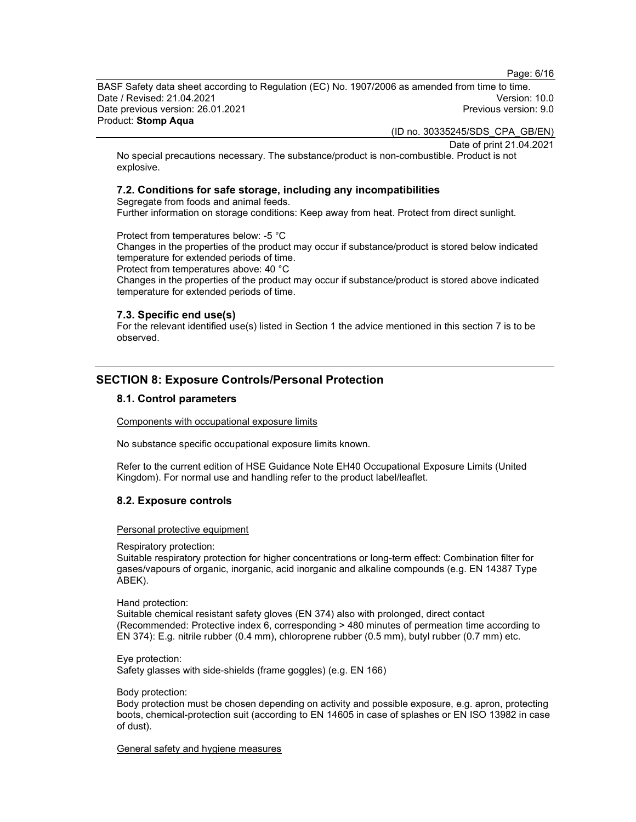Page: 6/16

BASF Safety data sheet according to Regulation (EC) No. 1907/2006 as amended from time to time.<br>Date / Revised: 21.04.2021 Date / Revised: 21.04.2021 Date previous version: 26.01.2021 **Previous version: 9.0 Previous version: 9.0** Product: Stomp Aqua

(ID no. 30335245/SDS\_CPA\_GB/EN)

Date of print 21.04.2021

No special precautions necessary. The substance/product is non-combustible. Product is not explosive.

# 7.2. Conditions for safe storage, including any incompatibilities

Segregate from foods and animal feeds. Further information on storage conditions: Keep away from heat. Protect from direct sunlight.

Protect from temperatures below: -5 °C

Changes in the properties of the product may occur if substance/product is stored below indicated temperature for extended periods of time.

Protect from temperatures above: 40 °C

Changes in the properties of the product may occur if substance/product is stored above indicated temperature for extended periods of time.

# 7.3. Specific end use(s)

For the relevant identified use(s) listed in Section 1 the advice mentioned in this section 7 is to be observed.

# SECTION 8: Exposure Controls/Personal Protection

# 8.1. Control parameters

Components with occupational exposure limits

No substance specific occupational exposure limits known.

Refer to the current edition of HSE Guidance Note EH40 Occupational Exposure Limits (United Kingdom). For normal use and handling refer to the product label/leaflet.

# 8.2. Exposure controls

Personal protective equipment

Respiratory protection:

Suitable respiratory protection for higher concentrations or long-term effect: Combination filter for gases/vapours of organic, inorganic, acid inorganic and alkaline compounds (e.g. EN 14387 Type ABEK).

Hand protection:

Suitable chemical resistant safety gloves (EN 374) also with prolonged, direct contact (Recommended: Protective index 6, corresponding > 480 minutes of permeation time according to EN 374): E.g. nitrile rubber (0.4 mm), chloroprene rubber (0.5 mm), butyl rubber (0.7 mm) etc.

Eye protection: Safety glasses with side-shields (frame goggles) (e.g. EN 166)

Body protection:

Body protection must be chosen depending on activity and possible exposure, e.g. apron, protecting boots, chemical-protection suit (according to EN 14605 in case of splashes or EN ISO 13982 in case of dust).

General safety and hygiene measures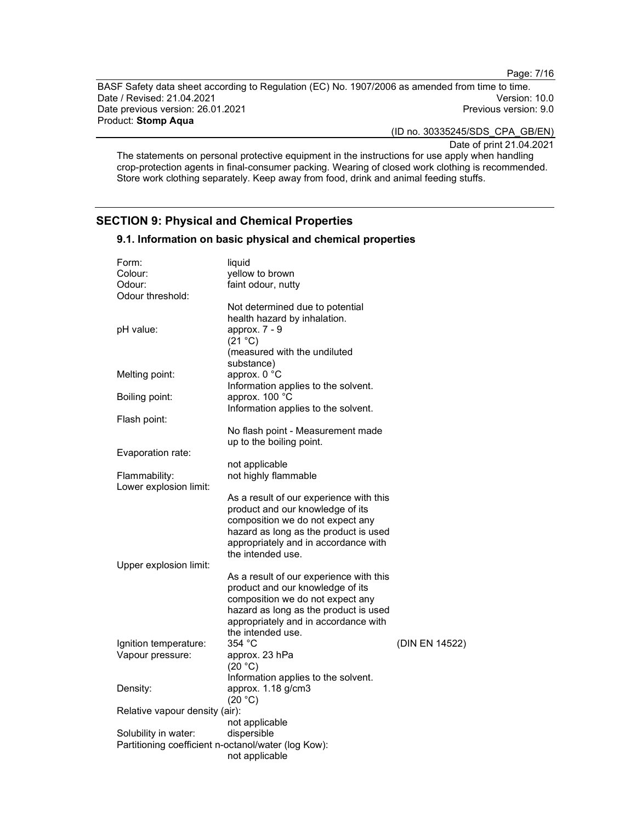Page: 7/16

BASF Safety data sheet according to Regulation (EC) No. 1907/2006 as amended from time to time. Date / Revised: 21.04.2021 Date previous version: 26.01.2021 **Previous version: 9.0** Previous version: 9.0 Product: Stomp Aqua

(ID no. 30335245/SDS\_CPA\_GB/EN)

Date of print 21.04.2021

The statements on personal protective equipment in the instructions for use apply when handling crop-protection agents in final-consumer packing. Wearing of closed work clothing is recommended. Store work clothing separately. Keep away from food, drink and animal feeding stuffs.

# SECTION 9: Physical and Chemical Properties

| Form:<br>Colour:<br>Odour:<br>Odour threshold: | liquid<br>yellow to brown<br>faint odour, nutty                                                                                                                                                                       |                |
|------------------------------------------------|-----------------------------------------------------------------------------------------------------------------------------------------------------------------------------------------------------------------------|----------------|
| pH value:                                      | Not determined due to potential<br>health hazard by inhalation.<br>approx. 7 - 9<br>(21 °C)<br>(measured with the undiluted                                                                                           |                |
| Melting point:                                 | substance)<br>approx. 0 °C<br>Information applies to the solvent.                                                                                                                                                     |                |
| Boiling point:                                 | approx. 100 °C<br>Information applies to the solvent.                                                                                                                                                                 |                |
| Flash point:                                   |                                                                                                                                                                                                                       |                |
|                                                | No flash point - Measurement made<br>up to the boiling point.                                                                                                                                                         |                |
| Evaporation rate:                              | not applicable                                                                                                                                                                                                        |                |
| Flammability:<br>Lower explosion limit:        | not highly flammable                                                                                                                                                                                                  |                |
|                                                | As a result of our experience with this<br>product and our knowledge of its<br>composition we do not expect any<br>hazard as long as the product is used<br>appropriately and in accordance with<br>the intended use. |                |
| Upper explosion limit:                         |                                                                                                                                                                                                                       |                |
|                                                | As a result of our experience with this<br>product and our knowledge of its<br>composition we do not expect any<br>hazard as long as the product is used<br>appropriately and in accordance with<br>the intended use. |                |
| Ignition temperature:                          | 354 °C                                                                                                                                                                                                                | (DIN EN 14522) |
| Vapour pressure:                               | approx. 23 hPa<br>(20 °C)<br>Information applies to the solvent.                                                                                                                                                      |                |
| Density:                                       | approx. 1.18 g/cm3<br>(20 °C)                                                                                                                                                                                         |                |
| Relative vapour density (air):                 |                                                                                                                                                                                                                       |                |
| Solubility in water:                           | not applicable<br>dispersible<br>Partitioning coefficient n-octanol/water (log Kow):<br>not applicable                                                                                                                |                |

9.1. Information on basic physical and chemical properties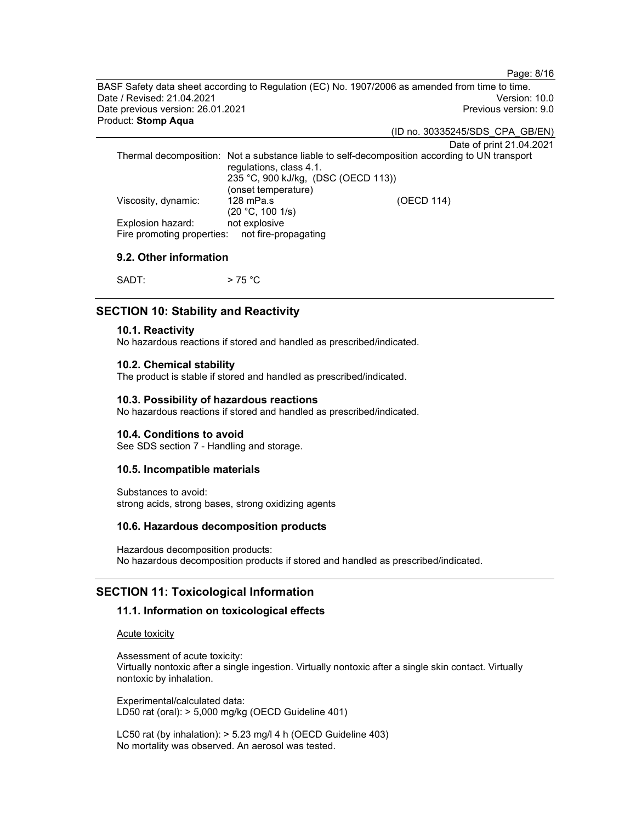Page: 8/16

BASF Safety data sheet according to Regulation (EC) No. 1907/2006 as amended from time to time. Date / Revised: 21.04.2021 Version: 10.0 Date previous version: 26.01.2021 **Previous version: 9.0 Previous version: 9.0** Product: Stomp Aqua

(ID no. 30335245/SDS\_CPA\_GB/EN)

Date of print 21.04.2021

Thermal decomposition: Not a substance liable to self-decomposition according to UN transport regulations, class 4.1. 235 °C, 900 kJ/kg, (DSC (OECD 113)) (onset temperature) Viscosity, dynamic: 128 mPa.s (20 °C, 100 1/s) (OECD 114) Explosion hazard: not explosive Fire promoting properties: not fire-propagating

# 9.2. Other information

 $SADT:$  > 75 °C

# SECTION 10: Stability and Reactivity

#### 10.1. Reactivity

No hazardous reactions if stored and handled as prescribed/indicated.

### 10.2. Chemical stability

The product is stable if stored and handled as prescribed/indicated.

#### 10.3. Possibility of hazardous reactions

No hazardous reactions if stored and handled as prescribed/indicated.

#### 10.4. Conditions to avoid

See SDS section 7 - Handling and storage.

### 10.5. Incompatible materials

Substances to avoid: strong acids, strong bases, strong oxidizing agents

#### 10.6. Hazardous decomposition products

Hazardous decomposition products: No hazardous decomposition products if stored and handled as prescribed/indicated.

# SECTION 11: Toxicological Information

# 11.1. Information on toxicological effects

Acute toxicity

Assessment of acute toxicity: Virtually nontoxic after a single ingestion. Virtually nontoxic after a single skin contact. Virtually nontoxic by inhalation.

Experimental/calculated data: LD50 rat (oral): > 5,000 mg/kg (OECD Guideline 401)

LC50 rat (by inhalation): > 5.23 mg/l 4 h (OECD Guideline 403) No mortality was observed. An aerosol was tested.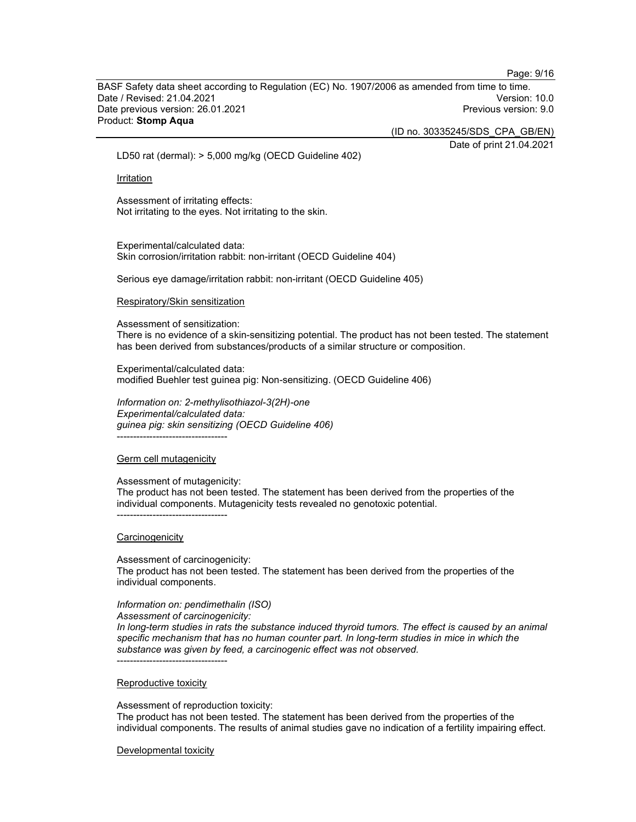Page: 9/16

BASF Safety data sheet according to Regulation (EC) No. 1907/2006 as amended from time to time.<br>Date / Revised: 21.04.2021 Date / Revised: 21.04.2021 Date previous version: 26.01.2021 **Previous version: 9.0 Previous version: 9.0** Product: Stomp Aqua

(ID no. 30335245/SDS\_CPA\_GB/EN)

Date of print 21.04.2021

LD50 rat (dermal): > 5,000 mg/kg (OECD Guideline 402)

Irritation

Assessment of irritating effects: Not irritating to the eyes. Not irritating to the skin.

Experimental/calculated data: Skin corrosion/irritation rabbit: non-irritant (OECD Guideline 404)

Serious eye damage/irritation rabbit: non-irritant (OECD Guideline 405)

Respiratory/Skin sensitization

Assessment of sensitization:

There is no evidence of a skin-sensitizing potential. The product has not been tested. The statement has been derived from substances/products of a similar structure or composition.

Experimental/calculated data: modified Buehler test guinea pig: Non-sensitizing. (OECD Guideline 406)

Information on: 2-methylisothiazol-3(2H)-one Experimental/calculated data: guinea pig: skin sensitizing (OECD Guideline 406) ----------------------------------

#### Germ cell mutagenicity

Assessment of mutagenicity:

The product has not been tested. The statement has been derived from the properties of the individual components. Mutagenicity tests revealed no genotoxic potential. ----------------------------------

**Carcinogenicity** 

Assessment of carcinogenicity:

The product has not been tested. The statement has been derived from the properties of the individual components.

Information on: pendimethalin (ISO)

Assessment of carcinogenicity:

In long-term studies in rats the substance induced thyroid tumors. The effect is caused by an animal specific mechanism that has no human counter part. In long-term studies in mice in which the substance was given by feed, a carcinogenic effect was not observed. ----------------------------------

Reproductive toxicity

Assessment of reproduction toxicity:

The product has not been tested. The statement has been derived from the properties of the individual components. The results of animal studies gave no indication of a fertility impairing effect.

Developmental toxicity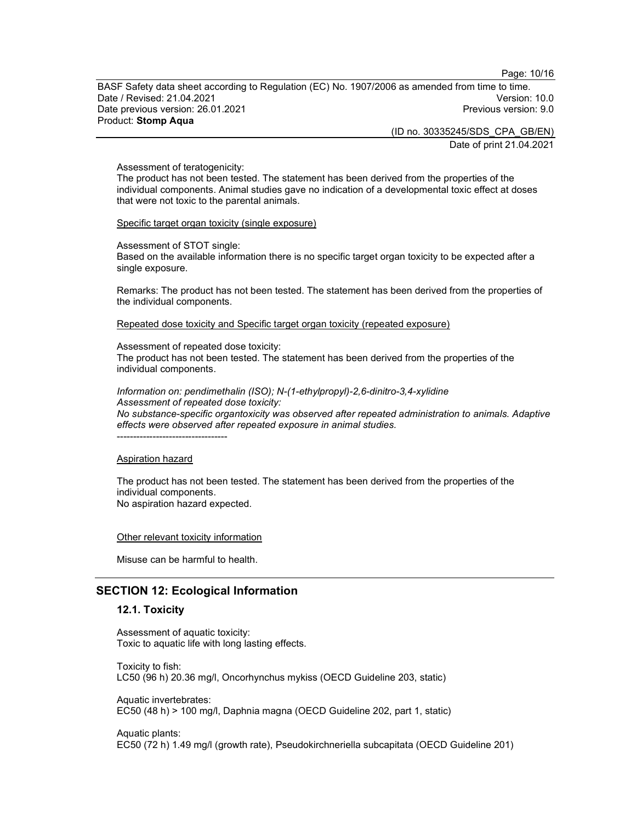Page: 10/16

BASF Safety data sheet according to Regulation (EC) No. 1907/2006 as amended from time to time.<br>Date / Revised: 21.04.2021 Date / Revised: 21.04.2021 Date previous version: 26.01.2021 **Previous version: 9.0 Previous version: 9.0** Product: Stomp Aqua

(ID no. 30335245/SDS\_CPA\_GB/EN)

Date of print 21.04.2021

#### Assessment of teratogenicity:

The product has not been tested. The statement has been derived from the properties of the individual components. Animal studies gave no indication of a developmental toxic effect at doses that were not toxic to the parental animals.

Specific target organ toxicity (single exposure)

Assessment of STOT single:

Based on the available information there is no specific target organ toxicity to be expected after a single exposure.

Remarks: The product has not been tested. The statement has been derived from the properties of the individual components.

Repeated dose toxicity and Specific target organ toxicity (repeated exposure)

Assessment of repeated dose toxicity: The product has not been tested. The statement has been derived from the properties of the individual components.

Information on: pendimethalin (ISO); N-(1-ethylpropyl)-2,6-dinitro-3,4-xylidine Assessment of repeated dose toxicity: No substance-specific organtoxicity was observed after repeated administration to animals. Adaptive effects were observed after repeated exposure in animal studies. ----------------------------------

#### Aspiration hazard

The product has not been tested. The statement has been derived from the properties of the individual components. No aspiration hazard expected.

#### Other relevant toxicity information

Misuse can be harmful to health.

# SECTION 12: Ecological Information

### 12.1. Toxicity

Assessment of aquatic toxicity: Toxic to aquatic life with long lasting effects.

Toxicity to fish: LC50 (96 h) 20.36 mg/l, Oncorhynchus mykiss (OECD Guideline 203, static)

Aquatic invertebrates: EC50 (48 h) > 100 mg/l, Daphnia magna (OECD Guideline 202, part 1, static)

Aquatic plants: EC50 (72 h) 1.49 mg/l (growth rate), Pseudokirchneriella subcapitata (OECD Guideline 201)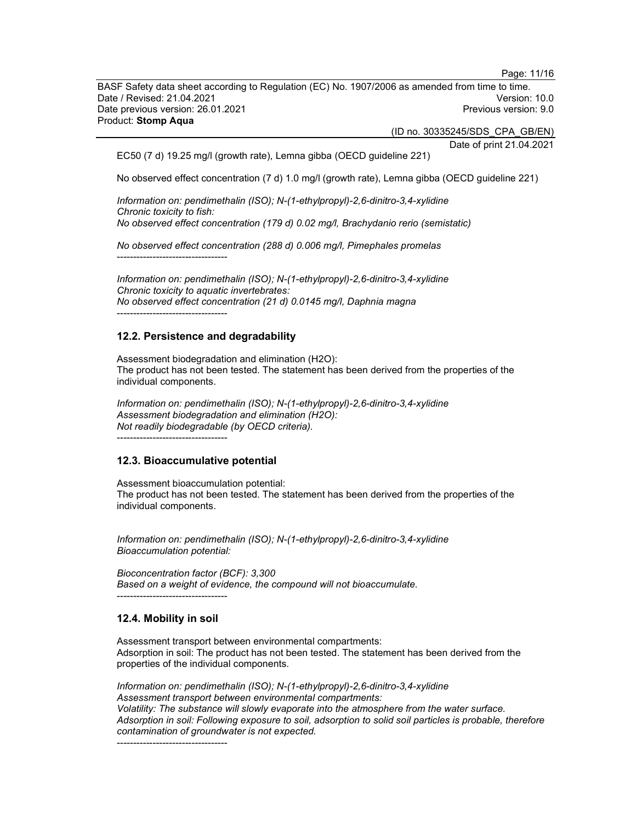BASF Safety data sheet according to Regulation (EC) No. 1907/2006 as amended from time to time.<br>Date / Revised: 21.04.2021 Date / Revised: 21.04.2021 Date previous version: 26.01.2021 **Previous version: 9.0 Previous version: 9.0** Product: Stomp Aqua

(ID no. 30335245/SDS\_CPA\_GB/EN)

Date of print 21.04.2021

EC50 (7 d) 19.25 mg/l (growth rate), Lemna gibba (OECD guideline 221)

No observed effect concentration (7 d) 1.0 mg/l (growth rate), Lemna gibba (OECD guideline 221)

Information on: pendimethalin (ISO); N-(1-ethylpropyl)-2,6-dinitro-3,4-xylidine Chronic toxicity to fish: No observed effect concentration (179 d) 0.02 mg/l, Brachydanio rerio (semistatic)

No observed effect concentration (288 d) 0.006 mg/l, Pimephales promelas ----------------------------------

Information on: pendimethalin (ISO); N-(1-ethylpropyl)-2,6-dinitro-3,4-xylidine Chronic toxicity to aquatic invertebrates: No observed effect concentration (21 d) 0.0145 mg/l, Daphnia magna ----------------------------------

# 12.2. Persistence and degradability

Assessment biodegradation and elimination (H2O): The product has not been tested. The statement has been derived from the properties of the individual components.

Information on: pendimethalin (ISO); N-(1-ethylpropyl)-2,6-dinitro-3,4-xylidine Assessment biodegradation and elimination (H2O): Not readily biodegradable (by OECD criteria).

----------------------------------

# 12.3. Bioaccumulative potential

Assessment bioaccumulation potential: The product has not been tested. The statement has been derived from the properties of the individual components.

Information on: pendimethalin (ISO); N-(1-ethylpropyl)-2,6-dinitro-3,4-xylidine Bioaccumulation potential:

Bioconcentration factor (BCF): 3,300 Based on a weight of evidence, the compound will not bioaccumulate. ----------------------------------

#### 12.4. Mobility in soil

Assessment transport between environmental compartments: Adsorption in soil: The product has not been tested. The statement has been derived from the properties of the individual components.

Information on: pendimethalin (ISO); N-(1-ethylpropyl)-2,6-dinitro-3,4-xylidine Assessment transport between environmental compartments: Volatility: The substance will slowly evaporate into the atmosphere from the water surface. Adsorption in soil: Following exposure to soil, adsorption to solid soil particles is probable, therefore contamination of groundwater is not expected. ----------------------------------

Page: 11/16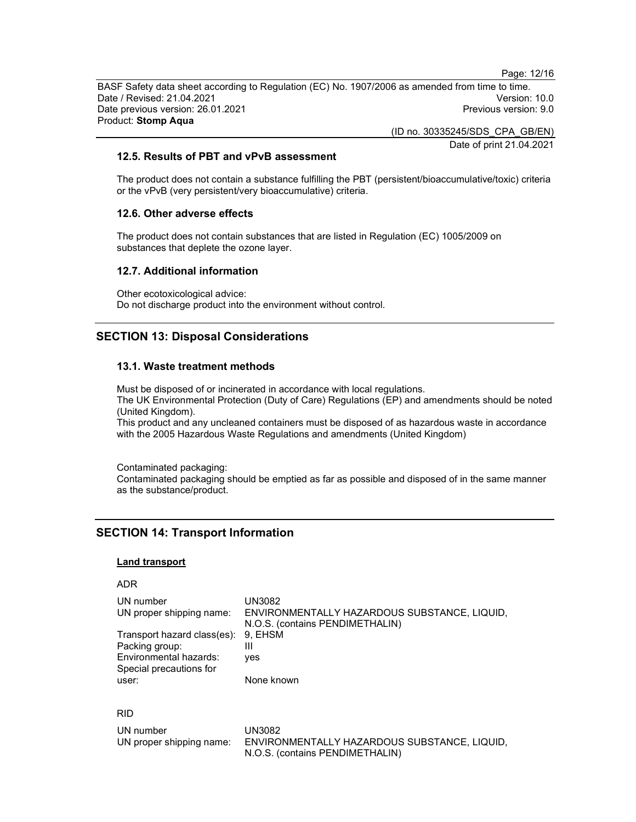BASF Safety data sheet according to Regulation (EC) No. 1907/2006 as amended from time to time. Date / Revised: 21.04.2021 Version: 10.0 Date previous version: 26.01.2021 **Previous version: 9.0 Previous version: 9.0** Product: Stomp Aqua

(ID no. 30335245/SDS\_CPA\_GB/EN)

Date of print 21.04.2021

Page: 12/16

# 12.5. Results of PBT and vPvB assessment

The product does not contain a substance fulfilling the PBT (persistent/bioaccumulative/toxic) criteria or the vPvB (very persistent/very bioaccumulative) criteria.

# 12.6. Other adverse effects

The product does not contain substances that are listed in Regulation (EC) 1005/2009 on substances that deplete the ozone layer.

### 12.7. Additional information

Other ecotoxicological advice: Do not discharge product into the environment without control.

# SECTION 13: Disposal Considerations

# 13.1. Waste treatment methods

Must be disposed of or incinerated in accordance with local regulations. The UK Environmental Protection (Duty of Care) Regulations (EP) and amendments should be noted (United Kingdom).

This product and any uncleaned containers must be disposed of as hazardous waste in accordance with the 2005 Hazardous Waste Regulations and amendments (United Kingdom)

Contaminated packaging:

Contaminated packaging should be emptied as far as possible and disposed of in the same manner as the substance/product.

# SECTION 14: Transport Information

#### Land transport

| ۰, |  |
|----|--|
|----|--|

| UN number                                         | UN3082                                                                          |
|---------------------------------------------------|---------------------------------------------------------------------------------|
| UN proper shipping name:                          | ENVIRONMENTALLY HAZARDOUS SUBSTANCE, LIQUID,<br>N.O.S. (contains PENDIMETHALIN) |
| Transport hazard class(es):                       | 9. EHSM                                                                         |
| Packing group:                                    | Ш                                                                               |
| Environmental hazards:<br>Special precautions for | ves                                                                             |
| user:                                             | None known                                                                      |
|                                                   |                                                                                 |

# RID

| UN number                | UN3082                                       |
|--------------------------|----------------------------------------------|
| UN proper shipping name: | ENVIRONMENTALLY HAZARDOUS SUBSTANCE. LIQUID. |
|                          | N.O.S. (contains PENDIMETHALIN)              |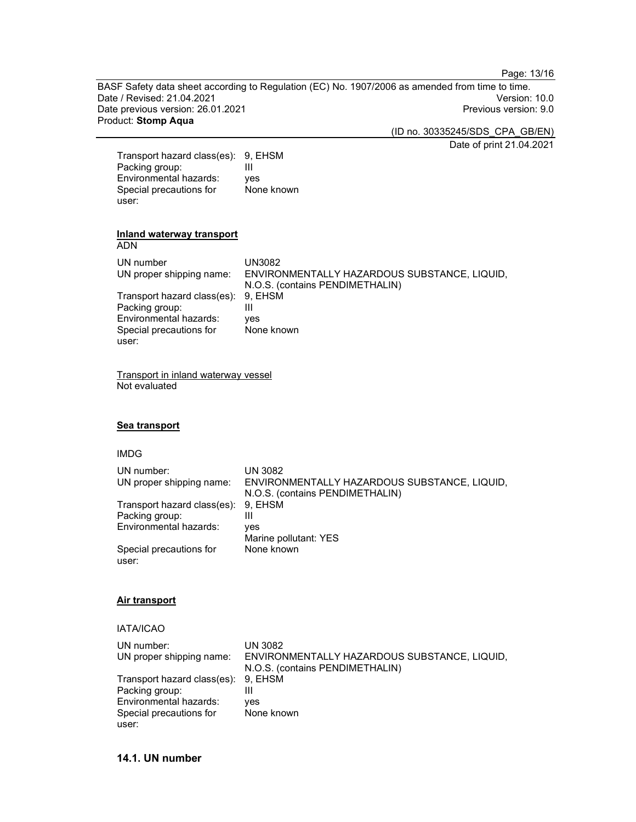Page: 13/16

BASF Safety data sheet according to Regulation (EC) No. 1907/2006 as amended from time to time. Date / Revised: 21.04.2021 Date previous version: 26.01.2021 **Previous version: 9.0** Previous version: 9.0 Product: Stomp Aqua

(ID no. 30335245/SDS\_CPA\_GB/EN)

Date of print 21.04.2021

| Transport hazard class(es): 9, EHSM |            |
|-------------------------------------|------------|
| Packing group:                      | Ш          |
| Environmental hazards:              | yes        |
| Special precautions for             | None known |
| user:                               |            |

# Inland waterway transport

ADN

| UN number<br>UN proper shipping name: | UN3082<br>ENVIRONMENTALLY HAZARDOUS SUBSTANCE, LIQUID,<br>N.O.S. (contains PENDIMETHALIN) |
|---------------------------------------|-------------------------------------------------------------------------------------------|
| Transport hazard class(es): 9, EHSM   |                                                                                           |
| Packing group:                        | Ш                                                                                         |
| Environmental hazards:                | ves                                                                                       |
| Special precautions for               | None known                                                                                |
| user:                                 |                                                                                           |

Transport in inland waterway vessel Not evaluated

# Sea transport

# IMDG

| UN number:                  | UN 3082                                      |
|-----------------------------|----------------------------------------------|
| UN proper shipping name:    | ENVIRONMENTALLY HAZARDOUS SUBSTANCE, LIQUID, |
|                             | N.O.S. (contains PENDIMETHALIN)              |
| Transport hazard class(es): | 9. EHSM                                      |
| Packing group:              | Ш                                            |
| Environmental hazards:      | ves                                          |
|                             | Marine pollutant: YES                        |
| Special precautions for     | None known                                   |
| user:                       |                                              |

# Air transport

# IATA/ICAO

| UN number:                          | UN 3082                                      |
|-------------------------------------|----------------------------------------------|
| UN proper shipping name:            | ENVIRONMENTALLY HAZARDOUS SUBSTANCE, LIQUID, |
|                                     | N.O.S. (contains PENDIMETHALIN)              |
| Transport hazard class(es): 9, EHSM |                                              |
| Packing group:                      | Ш                                            |
| Environmental hazards:              | ves                                          |
| Special precautions for             | None known                                   |
| user:                               |                                              |

# 14.1. UN number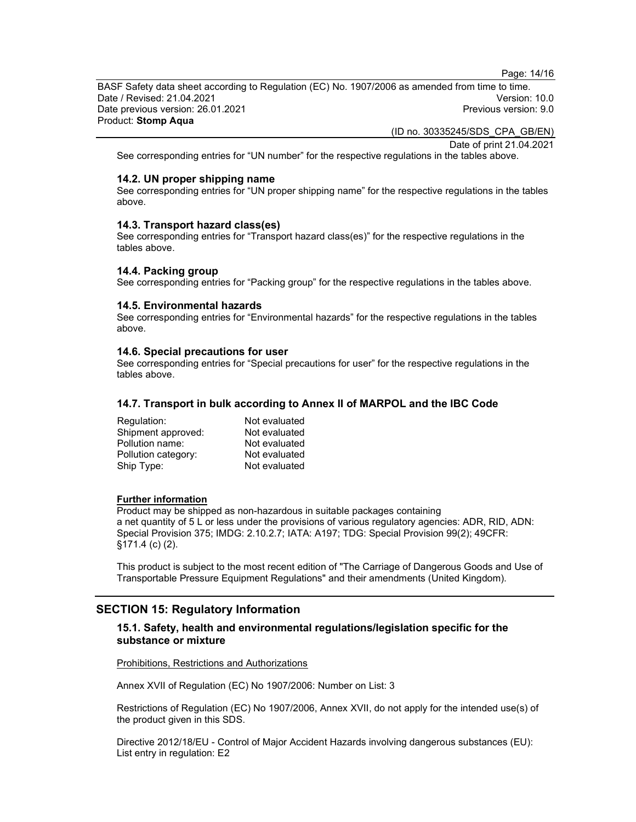Page: 14/16

BASF Safety data sheet according to Regulation (EC) No. 1907/2006 as amended from time to time.<br>Date / Revised: 21.04.2021 Date / Revised: 21.04.2021 Date previous version: 26.01.2021 **Previous version: 9.0 Previous version: 9.0** Product: Stomp Aqua

(ID no. 30335245/SDS\_CPA\_GB/EN)

Date of print 21.04.2021

See corresponding entries for "UN number" for the respective regulations in the tables above.

#### 14.2. UN proper shipping name

See corresponding entries for "UN proper shipping name" for the respective regulations in the tables above.

#### 14.3. Transport hazard class(es)

See corresponding entries for "Transport hazard class(es)" for the respective regulations in the tables above.

#### 14.4. Packing group

See corresponding entries for "Packing group" for the respective regulations in the tables above.

#### 14.5. Environmental hazards

See corresponding entries for "Environmental hazards" for the respective regulations in the tables above.

#### 14.6. Special precautions for user

See corresponding entries for "Special precautions for user" for the respective regulations in the tables above.

#### 14.7. Transport in bulk according to Annex II of MARPOL and the IBC Code

| Regulation:         | Not evaluated |
|---------------------|---------------|
| Shipment approved:  | Not evaluated |
| Pollution name:     | Not evaluated |
| Pollution category: | Not evaluated |
| Ship Type:          | Not evaluated |

# Further information

Product may be shipped as non-hazardous in suitable packages containing a net quantity of 5 L or less under the provisions of various regulatory agencies: ADR, RID, ADN: Special Provision 375; IMDG: 2.10.2.7; IATA: A197; TDG: Special Provision 99(2); 49CFR: §171.4 (c) (2).

This product is subject to the most recent edition of "The Carriage of Dangerous Goods and Use of Transportable Pressure Equipment Regulations" and their amendments (United Kingdom).

# SECTION 15: Regulatory Information

# 15.1. Safety, health and environmental regulations/legislation specific for the substance or mixture

Prohibitions, Restrictions and Authorizations

Annex XVII of Regulation (EC) No 1907/2006: Number on List: 3

Restrictions of Regulation (EC) No 1907/2006, Annex XVII, do not apply for the intended use(s) of the product given in this SDS.

Directive 2012/18/EU - Control of Major Accident Hazards involving dangerous substances (EU): List entry in regulation: E2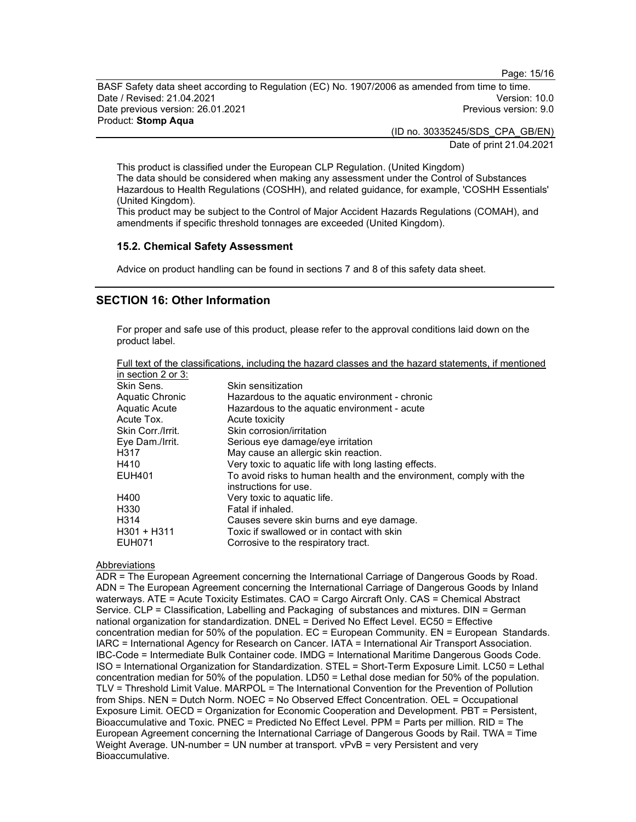Page: 15/16

BASF Safety data sheet according to Regulation (EC) No. 1907/2006 as amended from time to time. Date / Revised: 21.04.2021 Version: 10.0 Date previous version: 26.01.2021 **Previous version: 9.0 Previous version: 9.0** Product: Stomp Aqua

> (ID no. 30335245/SDS\_CPA\_GB/EN) Date of print 21.04.2021

This product is classified under the European CLP Regulation. (United Kingdom) The data should be considered when making any assessment under the Control of Substances Hazardous to Health Regulations (COSHH), and related guidance, for example, 'COSHH Essentials' (United Kingdom).

This product may be subject to the Control of Major Accident Hazards Regulations (COMAH), and amendments if specific threshold tonnages are exceeded (United Kingdom).

# 15.2. Chemical Safety Assessment

Advice on product handling can be found in sections 7 and 8 of this safety data sheet.

# SECTION 16: Other Information

For proper and safe use of this product, please refer to the approval conditions laid down on the product label.

| Full text of the classifications, including the hazard classes and the hazard statements, if mentioned |  |  |  |  |
|--------------------------------------------------------------------------------------------------------|--|--|--|--|
| in section 2 or 3:                                                                                     |  |  |  |  |

| $\overline{a}$ is a coupling to $\overline{b}$ . |                                                                     |
|--------------------------------------------------|---------------------------------------------------------------------|
| Skin Sens.                                       | Skin sensitization                                                  |
| Aquatic Chronic                                  | Hazardous to the aquatic environment - chronic                      |
| Aquatic Acute                                    | Hazardous to the aquatic environment - acute                        |
| Acute Tox.                                       | Acute toxicity                                                      |
| Skin Corr./Irrit.                                | Skin corrosion/irritation                                           |
| Eye Dam./Irrit.                                  | Serious eye damage/eye irritation                                   |
| H317                                             | May cause an allergic skin reaction.                                |
| H410                                             | Very toxic to aquatic life with long lasting effects.               |
| EUH401                                           | To avoid risks to human health and the environment, comply with the |
|                                                  | instructions for use.                                               |
| H400                                             | Very toxic to aquatic life.                                         |
| H330                                             | Fatal if inhaled.                                                   |
| H314                                             | Causes severe skin burns and eye damage.                            |
| H301 + H311                                      | Toxic if swallowed or in contact with skin                          |
| EUH071                                           | Corrosive to the respiratory tract.                                 |
|                                                  |                                                                     |

### **Abbreviations**

ADR = The European Agreement concerning the International Carriage of Dangerous Goods by Road. ADN = The European Agreement concerning the International Carriage of Dangerous Goods by Inland waterways. ATE = Acute Toxicity Estimates. CAO = Cargo Aircraft Only. CAS = Chemical Abstract Service. CLP = Classification, Labelling and Packaging of substances and mixtures. DIN = German national organization for standardization. DNEL = Derived No Effect Level. EC50 = Effective concentration median for 50% of the population. EC = European Community. EN = European Standards. IARC = International Agency for Research on Cancer. IATA = International Air Transport Association. IBC-Code = Intermediate Bulk Container code. IMDG = International Maritime Dangerous Goods Code. ISO = International Organization for Standardization. STEL = Short-Term Exposure Limit. LC50 = Lethal concentration median for 50% of the population. LD50 = Lethal dose median for 50% of the population. TLV = Threshold Limit Value. MARPOL = The International Convention for the Prevention of Pollution from Ships. NEN = Dutch Norm. NOEC = No Observed Effect Concentration. OEL = Occupational Exposure Limit. OECD = Organization for Economic Cooperation and Development. PBT = Persistent, Bioaccumulative and Toxic. PNEC = Predicted No Effect Level. PPM = Parts per million. RID = The European Agreement concerning the International Carriage of Dangerous Goods by Rail. TWA = Time Weight Average. UN-number = UN number at transport. vPvB = very Persistent and very Bioaccumulative.